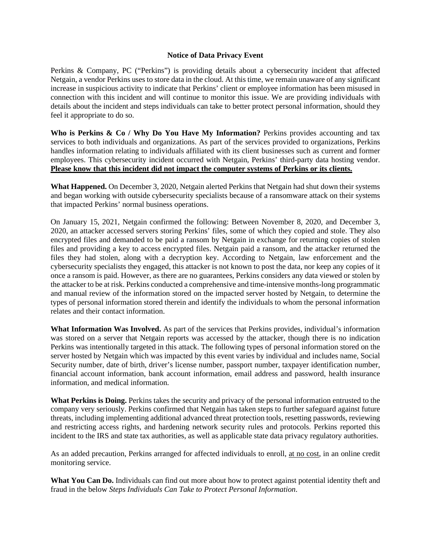## **Notice of Data Privacy Event**

Perkins & Company, PC ("Perkins") is providing details about a cybersecurity incident that affected Netgain, a vendor Perkins uses to store data in the cloud. At this time, we remain unaware of any significant increase in suspicious activity to indicate that Perkins' client or employee information has been misused in connection with this incident and will continue to monitor this issue. We are providing individuals with details about the incident and steps individuals can take to better protect personal information, should they feel it appropriate to do so.

**Who is Perkins & Co / Why Do You Have My Information?** Perkins provides accounting and tax services to both individuals and organizations. As part of the services provided to organizations, Perkins handles information relating to individuals affiliated with its client businesses such as current and former employees. This cybersecurity incident occurred with Netgain, Perkins' third-party data hosting vendor. **Please know that this incident did not impact the computer systems of Perkins or its clients.** 

**What Happened.** On December 3, 2020, Netgain alerted Perkins that Netgain had shut down their systems and began working with outside cybersecurity specialists because of a ransomware attack on their systems that impacted Perkins' normal business operations.

On January 15, 2021, Netgain confirmed the following: Between November 8, 2020, and December 3, 2020, an attacker accessed servers storing Perkins' files, some of which they copied and stole. They also encrypted files and demanded to be paid a ransom by Netgain in exchange for returning copies of stolen files and providing a key to access encrypted files. Netgain paid a ransom, and the attacker returned the files they had stolen, along with a decryption key. According to Netgain, law enforcement and the cybersecurity specialists they engaged, this attacker is not known to post the data, nor keep any copies of it once a ransom is paid. However, as there are no guarantees, Perkins considers any data viewed or stolen by the attacker to be at risk. Perkins conducted a comprehensive and time-intensive months-long programmatic and manual review of the information stored on the impacted server hosted by Netgain, to determine the types of personal information stored therein and identify the individuals to whom the personal information relates and their contact information.

**What Information Was Involved.** As part of the services that Perkins provides, individual's information was stored on a server that Netgain reports was accessed by the attacker, though there is no indication Perkins was intentionally targeted in this attack. The following types of personal information stored on the server hosted by Netgain which was impacted by this event varies by individual and includes name, Social Security number, date of birth, driver's license number, passport number, taxpayer identification number, financial account information, bank account information, email address and password, health insurance information, and medical information.

**What Perkins is Doing.** Perkins takes the security and privacy of the personal information entrusted to the company very seriously. Perkins confirmed that Netgain has taken steps to further safeguard against future threats, including implementing additional advanced threat protection tools, resetting passwords, reviewing and restricting access rights, and hardening network security rules and protocols. Perkins reported this incident to the IRS and state tax authorities, as well as applicable state data privacy regulatory authorities.

As an added precaution, Perkins arranged for affected individuals to enroll, at no cost, in an online credit monitoring service.

**What You Can Do.** Individuals can find out more about how to protect against potential identity theft and fraud in the below *Steps Individuals Can Take to Protect Personal Information*.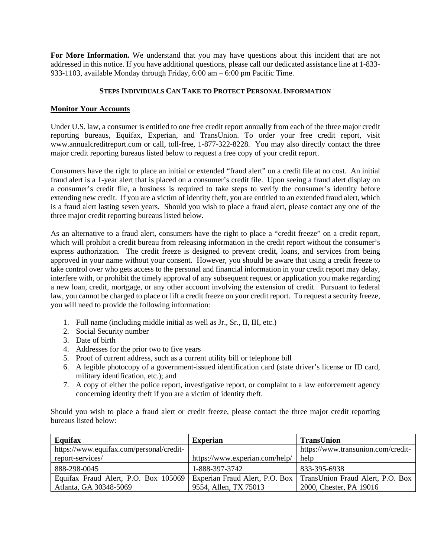**For More Information.** We understand that you may have questions about this incident that are not addressed in this notice. If you have additional questions, please call our dedicated assistance line at 1-833- 933-1103, available Monday through Friday, 6:00 am – 6:00 pm Pacific Time.

## **STEPS INDIVIDUALS CAN TAKE TO PROTECT PERSONAL INFORMATION**

## **Monitor Your Accounts**

Under U.S. law, a consumer is entitled to one free credit report annually from each of the three major credit reporting bureaus, Equifax, Experian, and TransUnion. To order your free credit report, visit www.annualcreditreport.com or call, toll-free, 1-877-322-8228. You may also directly contact the three major credit reporting bureaus listed below to request a free copy of your credit report.

Consumers have the right to place an initial or extended "fraud alert" on a credit file at no cost. An initial fraud alert is a 1-year alert that is placed on a consumer's credit file. Upon seeing a fraud alert display on a consumer's credit file, a business is required to take steps to verify the consumer's identity before extending new credit. If you are a victim of identity theft, you are entitled to an extended fraud alert, which is a fraud alert lasting seven years. Should you wish to place a fraud alert, please contact any one of the three major credit reporting bureaus listed below.

As an alternative to a fraud alert, consumers have the right to place a "credit freeze" on a credit report, which will prohibit a credit bureau from releasing information in the credit report without the consumer's express authorization. The credit freeze is designed to prevent credit, loans, and services from being approved in your name without your consent. However, you should be aware that using a credit freeze to take control over who gets access to the personal and financial information in your credit report may delay, interfere with, or prohibit the timely approval of any subsequent request or application you make regarding a new loan, credit, mortgage, or any other account involving the extension of credit. Pursuant to federal law, you cannot be charged to place or lift a credit freeze on your credit report. To request a security freeze, you will need to provide the following information:

- 1. Full name (including middle initial as well as Jr., Sr., II, III, etc.)
- 2. Social Security number
- 3. Date of birth
- 4. Addresses for the prior two to five years
- 5. Proof of current address, such as a current utility bill or telephone bill
- 6. A legible photocopy of a government-issued identification card (state driver's license or ID card, military identification, etc.); and
- 7. A copy of either the police report, investigative report, or complaint to a law enforcement agency concerning identity theft if you are a victim of identity theft.

Should you wish to place a fraud alert or credit freeze, please contact the three major credit reporting bureaus listed below:

| Equifax                                  | <b>Experian</b>                | <b>TransUnion</b>                                                 |
|------------------------------------------|--------------------------------|-------------------------------------------------------------------|
| https://www.equifax.com/personal/credit- |                                | https://www.transunion.com/credit-                                |
| report-services/                         | https://www.experian.com/help/ | help                                                              |
| 888-298-0045                             | 1-888-397-3742                 | 833-395-6938                                                      |
| Equifax Fraud Alert, P.O. Box 105069     |                                | Experian Fraud Alert, P.O. Box   TransUnion Fraud Alert, P.O. Box |
| Atlanta, GA 30348-5069                   | 9554, Allen, TX 75013          | 2000, Chester, PA 19016                                           |